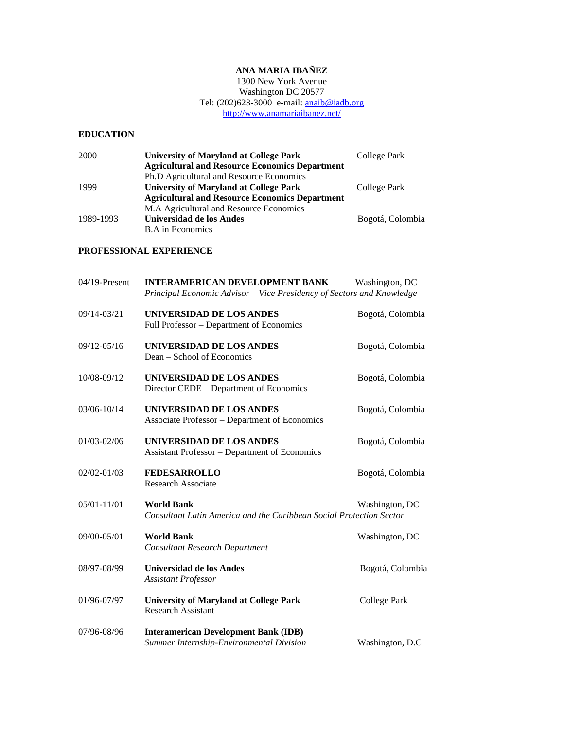# **ANA MARIA IBAÑEZ**

1300 New York Avenue Washington DC 20577 Tel: (202)623-3000 e-mail: **anaib@iadb.org** <http://www.anamariaibanez.net/>

## **EDUCATION**

| 2000      | <b>University of Maryland at College Park</b>         | College Park     |
|-----------|-------------------------------------------------------|------------------|
|           | <b>Agricultural and Resource Economics Department</b> |                  |
|           | Ph.D Agricultural and Resource Economics              |                  |
| 1999      | <b>University of Maryland at College Park</b>         | College Park     |
|           | <b>Agricultural and Resource Economics Department</b> |                  |
|           | M.A Agricultural and Resource Economics               |                  |
| 1989-1993 | Universidad de los Andes                              | Bogotá, Colombia |
|           | <b>B.A</b> in Economics                               |                  |

### **PROFESSIONAL EXPERIENCE**

| 04/19-Present   | <b>INTERAMERICAN DEVELOPMENT BANK</b><br>Principal Economic Advisor - Vice Presidency of Sectors and Knowledge | Washington, DC      |
|-----------------|----------------------------------------------------------------------------------------------------------------|---------------------|
| 09/14-03/21     | <b>UNIVERSIDAD DE LOS ANDES</b><br>Full Professor - Department of Economics                                    | Bogotá, Colombia    |
| 09/12-05/16     | UNIVERSIDAD DE LOS ANDES<br>Dean – School of Economics                                                         | Bogotá, Colombia    |
| 10/08-09/12     | UNIVERSIDAD DE LOS ANDES<br>Director CEDE – Department of Economics                                            | Bogotá, Colombia    |
| 03/06-10/14     | <b>UNIVERSIDAD DE LOS ANDES</b><br>Associate Professor - Department of Economics                               | Bogotá, Colombia    |
| 01/03-02/06     | UNIVERSIDAD DE LOS ANDES<br><b>Assistant Professor - Department of Economics</b>                               | Bogotá, Colombia    |
| $02/02 - 01/03$ | <b>FEDESARROLLO</b><br>Research Associate                                                                      | Bogotá, Colombia    |
| 05/01-11/01     | <b>World Bank</b><br>Consultant Latin America and the Caribbean Social Protection Sector                       | Washington, DC      |
| 09/00-05/01     | <b>World Bank</b><br><b>Consultant Research Department</b>                                                     | Washington, DC      |
| 08/97-08/99     | Universidad de los Andes<br><b>Assistant Professor</b>                                                         | Bogotá, Colombia    |
| 01/96-07/97     | <b>University of Maryland at College Park</b><br><b>Research Assistant</b>                                     | <b>College Park</b> |
| 07/96-08/96     | <b>Interamerican Development Bank (IDB)</b><br>Summer Internship-Environmental Division                        | Washington, D.C     |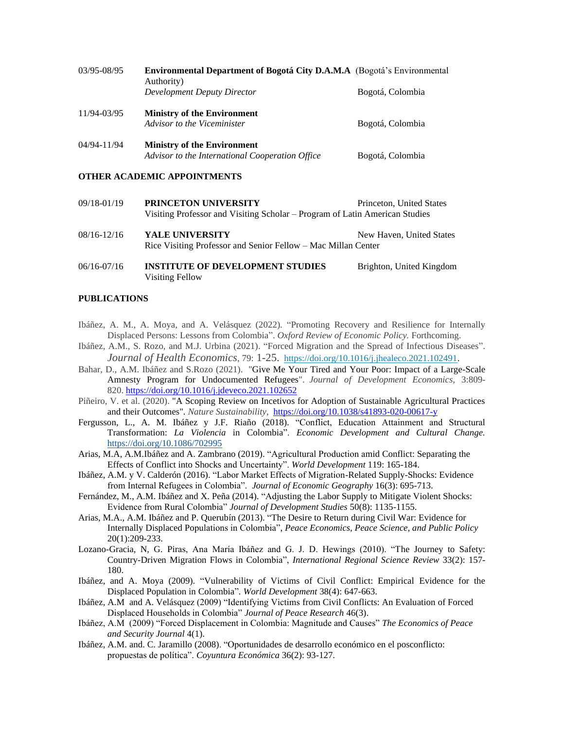| 03/95-08/95     | <b>Environmental Department of Bogotá City D.A.M.A</b> (Bogotá's Environmental<br>Authority) |                  |
|-----------------|----------------------------------------------------------------------------------------------|------------------|
|                 | Development Deputy Director                                                                  | Bogotá, Colombia |
| 11/94-03/95     | <b>Ministry of the Environment</b><br>Advisor to the Viceminister                            | Bogotá, Colombia |
| $04/94 - 11/94$ | <b>Ministry of the Environment</b><br>Advisor to the International Cooperation Office        | Bogotá, Colombia |

#### **OTHER ACADEMIC APPOINTMENTS**

- 09/18-01/19 **PRINCETON UNIVERSITY** Princeton, United States Visiting Professor and Visiting Scholar – Program of Latin American Studies
- 08/16-12/16 YALE UNIVERSITY New Haven, United States Rice Visiting Professor and Senior Fellow – Mac Millan Center
- 06/16-07/16 **INSTITUTE OF DEVELOPMENT STUDIES** Brighton, United Kingdom Visiting Fellow

#### **PUBLICATIONS**

- Ibáñez, A. M., A. Moya, and A. Velásquez (2022). "Promoting Recovery and Resilience for Internally Displaced Persons: Lessons from Colombia". *Oxford Review of Economic Policy.* Forthcoming.
- Ibáñez, A.M., S. Rozo, and M.J. Urbina (2021). "Forced Migration and the Spread of Infectious Diseases". *Journal of Health Economics*, 79: 1-25. [https://doi.org/10.1016/j.jhealeco.2021.102491.](https://doi.org/10.1016/j.jhealeco.2021.102491)
- Bahar, D., A.M. Ibáñez and S.Rozo (2021). "Give Me Your Tired and Your Poor: Impact of a Large-Scale Amnesty Program for Undocumented Refugees". *Journal of Development Economics*, 3:809- 820. <https://doi.org/10.1016/j.jdeveco.2021.102652>
- Piñeiro, V. et al. (2020). "A Scoping Review on Incetivos for Adoption of Sustainable Agricultural Practices and their Outcomes". *Nature Sustainability*, <https://doi.org/10.1038/s41893-020-00617-y>
- Fergusson, L., A. M. Ibáñez y J.F. Riaño (2018). "Conflict, Education Attainment and Structural Transformation: *La Violencia* in Colombia". *Economic Development and Cultural Change.* <https://doi.org/10.1086/702995>
- Arias, M.A, A.M.Ibáñez and A. Zambrano (2019). "Agricultural Production amid Conflict: Separating the Effects of Conflict into Shocks and Uncertainty". *World Development* 119: 165-184.
- Ibáñez, A.M. y V. Calderón (2016). "Labor Market Effects of Migration-Related Supply-Shocks: Evidence from Internal Refugees in Colombia". *Journal of Economic Geography* 16(3): 695-713.
- Fernández, M., A.M. Ibáñez and X. Peña (2014). "Adjusting the Labor Supply to Mitigate Violent Shocks: Evidence from Rural Colombia" *Journal of Development Studies* 50(8): 1135-1155.
- Arias, M.A., A.M. Ibáñez and P. Querubín (2013). "The Desire to Return during Civil War: Evidence for Internally Displaced Populations in Colombia", *Peace Economics, Peace Science, and Public Policy* 20(1):209-233.
- Lozano-Gracia, N, G. Piras, Ana María Ibáñez and G. J. D. Hewings (2010). "The Journey to Safety: Country-Driven Migration Flows in Colombia", *International Regional Science Review* 33(2): 157- 180.
- Ibáñez, and A. Moya (2009). "Vulnerability of Victims of Civil Conflict: Empirical Evidence for the Displaced Population in Colombia"*. World Development* 38(4): 647-663.
- Ibáñez, A.M and A. Velásquez (2009) "Identifying Victims from Civil Conflicts: An Evaluation of Forced Displaced Households in Colombia" *Journal of Peace Research* 46(3).
- Ibáñez, A.M (2009) "Forced Displacement in Colombia: Magnitude and Causes" *The Economics of Peace and Security Journal* 4(1).
- Ibáñez, A.M. and. C. Jaramillo (2008). "Oportunidades de desarrollo económico en el posconflicto: propuestas de política". *Coyuntura Económica* 36(2): 93-127.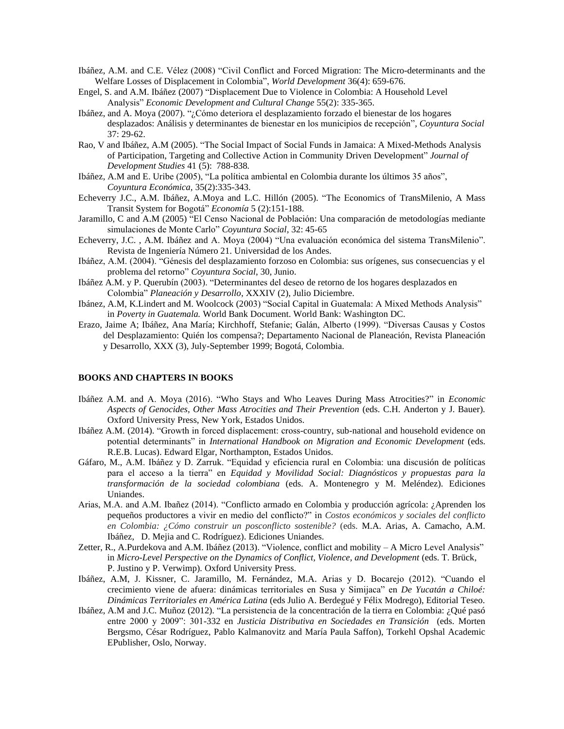- Ibáñez, A.M. and C.E. Vélez (2008) "Civil Conflict and Forced Migration: The Micro-determinants and the Welfare Losses of Displacement in Colombia", *World Development* 36(4): 659-676.
- Engel, S. and A.M. Ibáñez (2007) "Displacement Due to Violence in Colombia: A Household Level Analysis" *Economic Development and Cultural Change* 55(2): 335-365.
- Ibáñez, and A. Moya (2007). "¿Cómo deteriora el desplazamiento forzado el bienestar de los hogares desplazados: Análisis y determinantes de bienestar en los municipios de recepción"*, Coyuntura Social*  37: 29-62.
- Rao, V and Ibáñez, A.M (2005). "The Social Impact of Social Funds in Jamaica: A Mixed-Methods Analysis of Participation, Targeting and Collective Action in Community Driven Development" *Journal of Development Studies* 41 (5): 788-838*.*
- Ibáñez, A.M and E. Uribe (2005), "La política ambiental en Colombia durante los últimos 35 años", *Coyuntura Económica,* 35(2):335-343.
- Echeverry J.C., A.M. Ibáñez, A.Moya and L.C. Hillón (2005). "The Economics of TransMilenio, A Mass Transit System for Bogotá" *Economía* 5 (2):151-188*.*
- Jaramillo, C and A.M (2005) "El Censo Nacional de Población: Una comparación de metodologías mediante simulaciones de Monte Carlo" *Coyuntura Social*, 32: 45-65
- Echeverry, J.C. , A.M. Ibáñez and A. Moya (2004) "Una evaluación económica del sistema TransMilenio". Revista de Ingeniería Número 21. Universidad de los Andes.
- Ibáñez, A.M. (2004). "Génesis del desplazamiento forzoso en Colombia: sus orígenes, sus consecuencias y el problema del retorno" *Coyuntura Social*, 30, Junio.
- Ibáñez A.M. y P. Querubín (2003). "Determinantes del deseo de retorno de los hogares desplazados en Colombia" *Planeación y Desarrollo*, XXXIV (2), Julio Diciembre.
- Ibánez, A.M, K.Lindert and M. Woolcock (2003) "Social Capital in Guatemala: A Mixed Methods Analysis" in *Poverty in Guatemala.* World Bank Document. World Bank: Washington DC.
- Erazo, Jaime A; Ibáñez, Ana María; Kirchhoff, Stefanie; Galán, Alberto (1999). "Diversas Causas y Costos del Desplazamiento: Quién los compensa?; Departamento Nacional de Planeación, Revista Planeación y Desarrollo, XXX (3), July-September 1999; Bogotá, Colombia.

#### **BOOKS AND CHAPTERS IN BOOKS**

- Ibáñez A.M. and A. Moya (2016). "Who Stays and Who Leaves During Mass Atrocities?" in *Economic Aspects of Genocides, Other Mass Atrocities and Their Prevention* (eds. C.H. Anderton y J. Bauer). Oxford University Press, New York, Estados Unidos.
- Ibáñez A.M. (2014). "Growth in forced displacement: cross-country, sub-national and household evidence on potential determinants" in *International Handbook on Migration and Economic Development* (eds. R.E.B. Lucas). Edward Elgar, Northampton, Estados Unidos.
- Gáfaro, M., A.M. Ibáñez y D. Zarruk. "Equidad y eficiencia rural en Colombia: una discusión de políticas para el acceso a la tierra" en *Equidad y Movilidad Social: Diagnósticos y propuestas para la transformación de la sociedad colombiana* (eds. A. Montenegro y M. Meléndez). Ediciones Uniandes.
- Arias, M.A. and A.M. Ibañez (2014). "Conflicto armado en Colombia y producción agrícola: ¿Aprenden los pequeños productores a vivir en medio del conflicto?" in *Costos económicos y sociales del conflicto en Colombia: ¿Cómo construir un posconflicto sostenible?* (eds. M.A. Arias, A. Camacho, A.M. Ibáñez, D. Mejia and C. Rodríguez). Ediciones Uniandes.
- Zetter, R., A.Purdekova and A.M. Ibáñez (2013). "Violence, conflict and mobility A Micro Level Analysis" in *Micro-Level Perspective on the Dynamics of Conflict, Violence, and Development* (eds. T. Brück, P. Justino y P. Verwimp)*.* Oxford University Press.
- Ibáñez, A.M, J. Kissner, C. Jaramillo, M. Fernández, M.A. Arias y D. Bocarejo (2012). "Cuando el crecimiento viene de afuera: dinámicas territoriales en Susa y Simijaca" en *De Yucatán a Chiloé: Dinámicas Territoriales en América Latina* (eds Julio A. Berdegué y Félix Modrego), Editorial Teseo.
- Ibáñez, A.M and J.C. Muñoz (2012). "La persistencia de la concentración de la tierra en Colombia: ¿Qué pasó entre 2000 y 2009": 301-332 en *Justicia Distributiva en Sociedades en Transición* (eds. Morten Bergsmo, César Rodríguez, Pablo Kalmanovitz and María Paula Saffon), Torkehl Opshal Academic EPublisher, Oslo, Norway.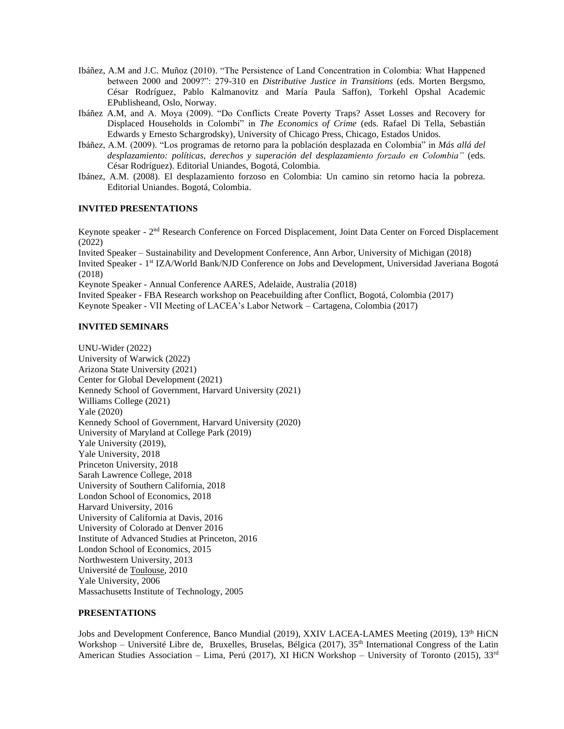- Ibáñez, A.M and J.C. Muñoz (2010). "The Persistence of Land Concentration in Colombia: What Happened between 2000 and 2009?": 279-310 en *Distributive Justice in Transitions* (eds. Morten Bergsmo, César Rodríguez, Pablo Kalmanovitz and María Paula Saffon), Torkehl Opshal Academic EPublisheand, Oslo, Norway.
- Ibáñez A.M, and A. Moya (2009). "Do Conflicts Create Poverty Traps? Asset Losses and Recovery for Displaced Households in Colombi" in *The Economics of Crime* (eds. Rafael Di Tella, Sebastián Edwards y Ernesto Schargrodsky), University of Chicago Press, Chicago, Estados Unidos.
- Ibáñez, A.M. (2009). "Los programas de retorno para la población desplazada en Colombia" in *Más allá del desplazamiento: políticas, derechos y superación del desplazamiento forzado en Colombia"* (eds. César Rodríguez). Editorial Uniandes, Bogotá, Colombia.
- Ibánez, A.M. (2008). El desplazamiento forzoso en Colombia: Un camino sin retorno hacia la pobreza. Editorial Uniandes. Bogotá, Colombia.

### **INVITED PRESENTATIONS**

Keynote speaker - 2<sup>nd</sup> Research Conference on Forced Displacement, Joint Data Center on Forced Displacement (2022)

Invited Speaker – Sustainability and Development Conference, Ann Arbor, University of Michigan (2018) Invited Speaker - 1<sup>st</sup> IZA/World Bank/NJD Conference on Jobs and Development, Universidad Javeriana Bogotá (2018)

Keynote Speaker - Annual Conference AARES, Adelaide, Australia (2018)

Invited Speaker - FBA Research workshop on Peacebuilding after Conflict, Bogotá, Colombia (2017) Keynote Speaker - VII Meeting of LACEA's Labor Network – Cartagena, Colombia (2017)

### **INVITED SEMINARS**

UNU-Wider (2022) University of Warwick (2022) Arizona State University (2021) Center for Global Development (2021) Kennedy School of Government, Harvard University (2021) Williams College (2021) Yale (2020) Kennedy School of Government, Harvard University (2020) University of Maryland at College Park (2019) Yale University (2019), Yale University, 2018 Princeton University, 2018 Sarah Lawrence College, 2018 University of Southern California, 2018 London School of Economics, 2018 Harvard University, 2016 University of California at Davis, 2016 University of Colorado at Denver 2016 Institute of Advanced Studies at Princeton, 2016 London School of Economics, 2015 Northwestern University, 2013 Université de Toulouse, 2010 Yale University, 2006 Massachusetts Institute of Technology, 2005

### **PRESENTATIONS**

Jobs and Development Conference, Banco Mundial (2019), XXIV LACEA-LAMES Meeting (2019), 13<sup>th</sup> HiCN Workshop - Université Libre de, Bruxelles, Bruselas, Bélgica (2017), 35<sup>th</sup> International Congress of the Latin American Studies Association – Lima, Perú (2017), XI HiCN Workshop – University of Toronto (2015),  $33<sup>rd</sup>$